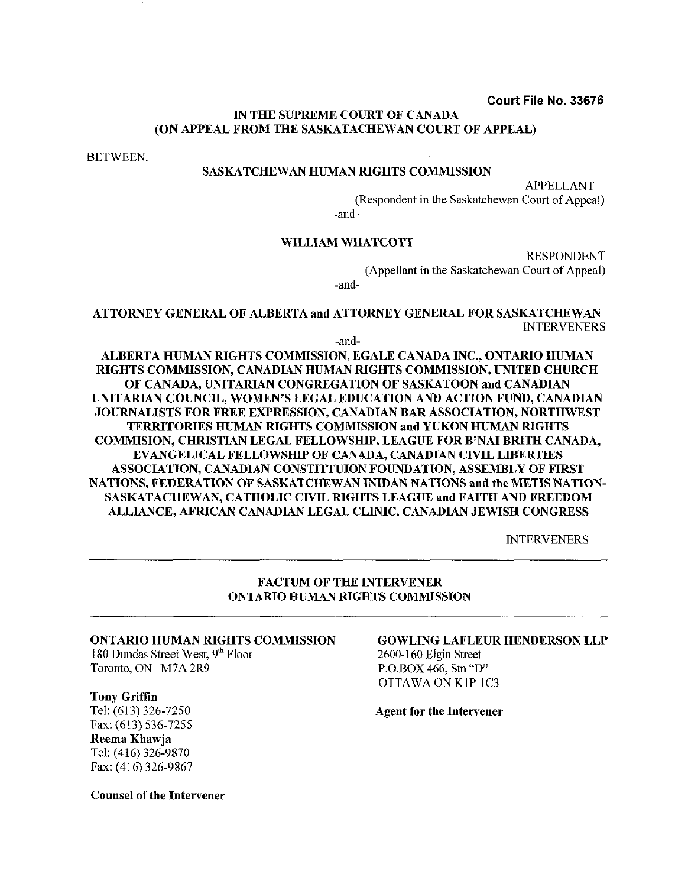#### **Court File No. 33676**

#### IN THE SUPREME COURT OF CANADA (ON APPEAL FROM THE SASKATACHEWAN COURT OF APPEAL)

BETWEEN:

#### SASKATCHEWAN HUMAN RIGHTS COMMISSION

APPELLANT (Respondent in the Saskatchewan Court of Appeal)

-and-

#### WILLIAM WHATCOTT

RESPONDENT (Appellant in the Saskatchewan Court of Appeal) -and-

ATTORNEY GENERAL OF ALBERTA and ATTORNEY GENERAL FOR SASKATCHEWAN INTERVENERS

-and-

ALBERTA HUMAN RIGHTS COMMISSION. EGALE CANADA INC., ONTARIO HUMAN RIGHTS COMMISSION, CANADIAN HUMAN RIGHTS COMMISSION, UNITED CHURCH OF CANADA, UNITARIAN CONGREGATION OF SASKATOON and CANADIAN UNITARIAN COUNCIL, WOMEN'S LEGAL EDUCATION AND ACTION FUND, CANADIAN JOURNALISTS FOR FREE EXPRESSION, CANADIAN BAR ASSOCIATION, NORTHWEST TERRITORIES HUMAN RIGHTS COMMISSION and YUKON HUMAN RIGHTS COMMISION, CHRISTIAN LEGAL FELLOWSHIP, LEAGUE FOR B'NAI BRITH CANADA, EVANGELICAL FELLOWSHIP OF CANADA, CANADIAN CIVIL LIBERTIES ASSOCIATION, CANADIAN CONSTITTUION FOUNDATION, ASSEMBLY OF FIRST NATIONS, FEDERATION OF SASKATCHEWAN INIDAN NATIONS and the METIS NATION-SASKATACHEWAN, CATHOLIC CNIL RIGHTS LEAGUE and FAITH AND FREEDOM ALLIANCE, AFRICAN CANADIAN LEGAL CLINIC, CANADIAN JEWISH CONGRESS

INTERVENERS

#### FACTUM OF THE INTERVENER ONTARIO HUMAN RIGHTS COMMISSION

180 Dundas Street West,  $9<sup>th</sup>$  Floor Toronto, ON M7A 2R9 P.O.BOX 466, Stn "D"

#### Tony Griffin

Fax: (613) 536-7255 Reema Khawja Tel: (416) 326-9870 Fax: (416) 326-9867

Counsel of the Intervener

# ONTARIO HUMAN RIGHTS COMMISSION GOWLING LAFLEUR HENDERSON LLP<br>180 Dundas Street West, 9<sup>th</sup> Floor 2600-160 Elgin Street

OTTAWA ON KIP 1C3

Tel: (613) 326-7250 Agent for the Intervener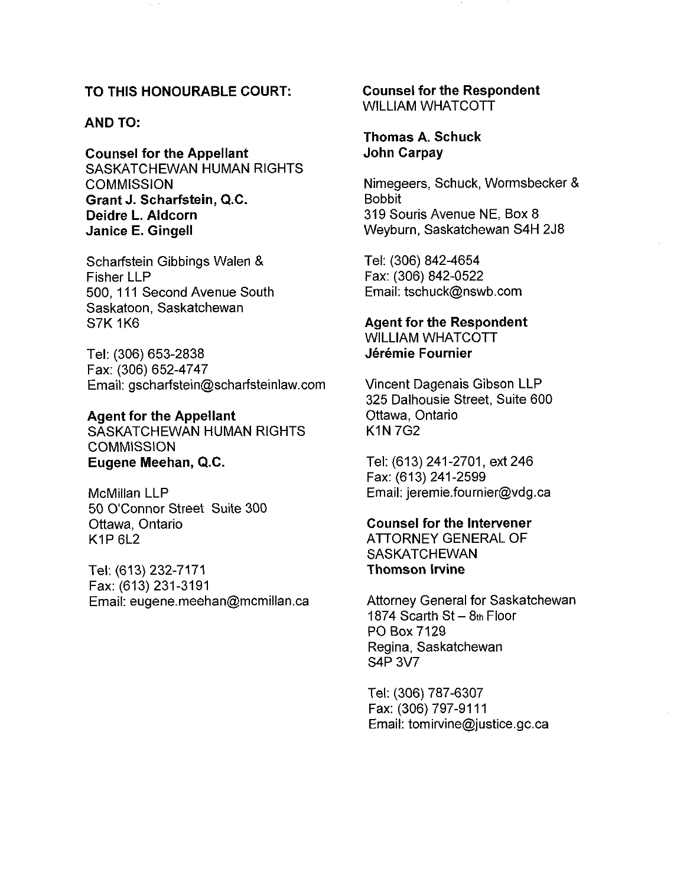#### TO THIS HONOURABLE COURT:

#### AND TO:

Counsel for the Appellant SASKATCHEWAN HUMAN RIGHTS **COMMISSION** Grant J. Scharfstein, Q.C. Deidre L. Aldcorn Janice E. Gingell

Scharfstein Gibbings Walen & Fisher LLP 500, 111 Second Avenue South Saskatoon, Saskatchewan **S7K 1K6** 

Tel: (306) 653-2838 Fax: (306) 652-4747 Email: gscharfstein@scharfsteinlaw.com

#### Agent for the Appellant

SASKATCHEWAN HUMAN RIGHTS **COMMISSION** Eugene Meehan, Q.C.

McMillan LLP 50 O'Connor Street Suite 300 Ottawa, Ontario  $K1P 6L2$ 

Tel: (613) 232-7171 Fax: (613) 231-3191 Email: eugene.meehan@mcmillan.ca Counsel for the Respondent WILLIAM WHATCOTT

#### Thomas A. Schuck John Carpay

Nimegeers, Schuck, Wormsbecker & Bobbit 319 Souris Avenue NE, Box 8 Weyburn, Saskatchewan S4H 2J8

Tel: (306) 842-4654 Fax: (306) 842-0522 Email: tschuck@nswb.com

#### Agent for the Respondent WILLIAM WHATCOTT Jérémie Fournier

Vincent Dagenais Gibson LLP 325 Dalhousie Street, Suite 600 Ottawa, Ontario K1N 7G2

Tel: (613) 241-2701, ext 246 Fax: (613) 241-2599 Email: jeremie.fournier@vdg.ca

#### Counsel for the Intervener

ATTORNEY GENERAL OF SASKATCHEWAN Thomson lrvine

Attorney General for Saskatchewan 1874 Scarth St  $-$  8th Floor PO Box 7129 Regina, Saskatchewan S4P 3v7

Tel: (306) 787-6307 Fax: (306) 797-9111 Email: tomirvine@justice.gc.ca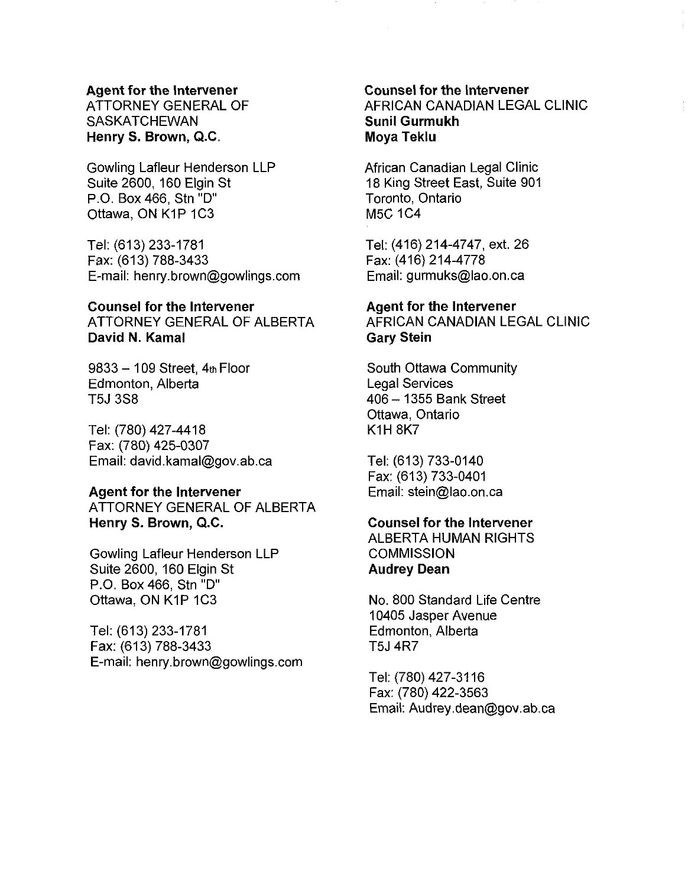ATTORNEY GENERAL OF **SASKATCHEWAN** Henry **S.** Brown, Q.C.

Gowling Lafleur Henderson LLP Suite 2600, 160 Elgin St P.O. Box 466, Stn "D" Ottawa, ON K1P 1C3

Tel: (613) 233-1781 Fax: (613) 788-3433 E-mail: henry.brown@gowlings.com

#### Counsel for the lntervener ATTORNEY GENERAL OF ALBERTA

David N. Kamal

 $9833 - 109$  Street,  $4<sub>th</sub>$  Floor Edmonton, Alberta T5J 3S8

Tel: (780) 427-441 8 Fax: (780) 425-0307 Email: david.kamal@gov.ab.ca

#### Agent for the lntervener

ATTORNEY GENERAL OF ALBERTA Henry S. Brown, Q.C.

Gowling Lafleur Henderson LLP Suite 2600, 160 Elgin St P.O. Box 466, Stn "D" Ottawa, ON K1P 1C3

Tel: (613) 233-1781 Fax: (613) 788-3433 E-mail: henry.brown@gowlings.com

### Counsel for the lntervener AFRICAN CANADIAN LEGAL CLINIC Sunil Gurmukh Moya Teklu

African Canadian Legal Clinic 18 King Street East, Suite 901 Toronto, Ontario M5C 1C4

Tel: (416) 214-4747, ext. 26 Fax: (416) 214-4778 Email: gurmuks@lao.on.ca

#### Agent for the lntervener

AFRICAN CANADIAN LEGAL CLINIC Gary Stein

South Ottawa Community Legal Services 406 - 1355 Bank Street Ottawa, Ontario KIH 8K7

Tel: (613) 733-0140 Fax: (613) 733-0401 Email: stein@lao.on.ca

#### Counsel for the lntervener

ALBERTA HUMAN RIGHTS **COMMISSION** Audrey Dean

No. 800 Standard Life Centre 10405 Jasper Avenue Edmonton, Alberta T5J 4R7

Tel: (780) 427-31 16 Fax: (780) 422-3563 Email: Audrey .dean@gov.ab.ca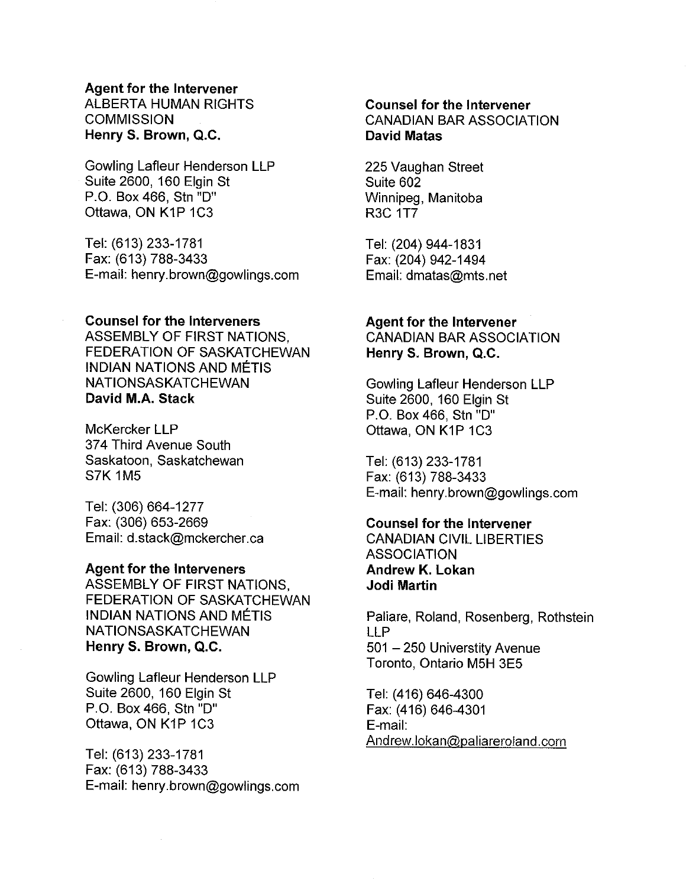ALBERTA HUMAN RIGHTS **COMMISSION** Henry **S.** Brown, Q.C.

Gowling Lafleur Henderson LLP Suite 2600, 160 Elgin St P.O. Box 466, Stn "D Ottawa, ON KIP 1C3

Tel: (613) 233-1781 Fax: (613) 788-3433 E-mail: henry.brown@gowlings.com

#### Counsel for the Interveners

ASSEMBLY OF FIRST NATIONS, FEDERATION OF SASKATCHEWAN INDIAN NATIONS AND METIS NATIONSASKATCHEWAN David M.A. Stack

McKercker LLP 374 Third Avenue South Saskatoon, Saskatchewan S7K 1M5

Tel: (306) 664-1277 Fax: (306) 653-2669 Email: d.stack@mckercher.ca

#### Agent for the lnterveners

ASSEMBLY OF FIRST NATIONS, FEDERATION OF SASKATCHEWAN INDIAN NATIONS AND MÉTIS NATIONSASKATCHEWAN Henry S. Brown, Q.C.

Gowling Lafleur Henderson LLP Suite 2600, 160 Elgin St P.O. Box 466, Stn "D" Ottawa, ON KIP 1C3

Tel: (613) 233-1781 Fax: (613) 788-3433 E-mail: henry.brown@gowlings.com

#### Counsel for the lntervener CANADIAN BAR ASSOCIATION David Matas

225 Vaughan Street Suite 602 Winnipeg, Manitoba R3C IT7

Tel: (204) 944-1 831 Fax: (204) 942-1494 Email: dmatas@mts.net

#### Agent for the Intervener

CANADIAN BAR ASSOCIATION Henry S. Brown, Q.C.

Gowling Lafleur Henderson LLP Suite 2600, 160 Elgin St P.O. Box 466, Stn "D" Ottawa, ON K1P 1C3

Tel: (613) 233-1781 Fax: (613) 788-3433 E-mail: henry.brown@gowlings.com

#### Counsel for the lntervener

CANADIAN CIVIL LIBERTIES **ASSOCIATION** Andrew **K.** Lokan Jodi Martin

Paliare, Roland, Rosenberg, Rothstein LLP 501 - 250 Universtity Avenue Toronto. Ontario M5H 3E5

Tel: (416) 646-4300 Fax: (416) 646-4301 E-mail: Andrew.lokan@,paIiareroland.com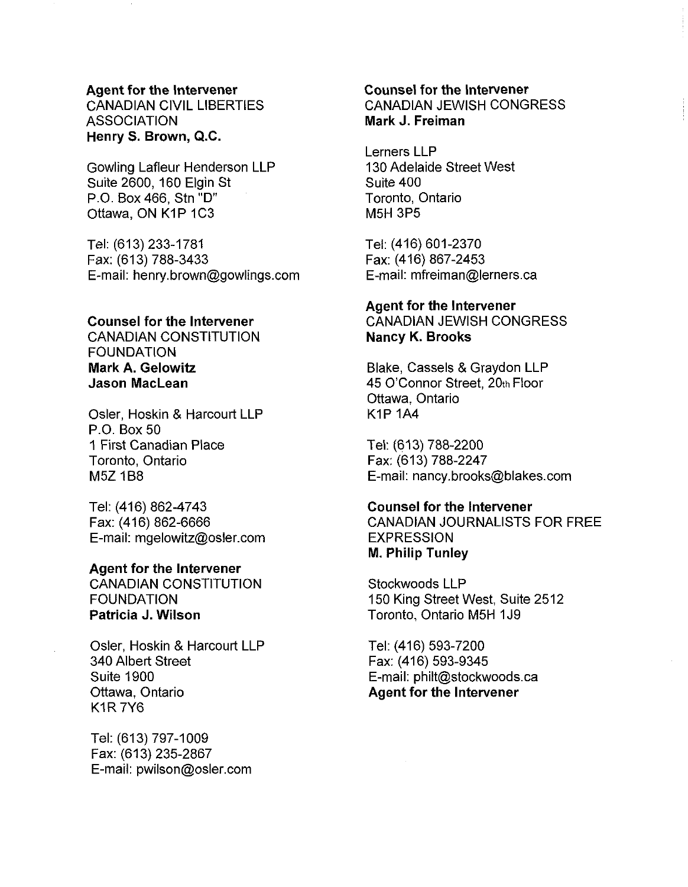CANADIAN CIVIL LIBERTIES **ASSOCIATION Henry S. Brown, Q.C.** 

Gowling Lafleur Henderson LLP Suite 2600, 160 Elgin St P.O. Box 466, Stn "D" **Ottawa, ON K1P 1C3** 

Tel: (613) 233-1781 Fax: (613) 788-3433 E-mail: henry.brown@gowlings.com

#### **Counsel for the lntervener**

CANADIAN CONSTITUTION FOUNDATION **Mark A. Gelowitz Jason MacLean** 

Osler, Hoskin & Harcourt LLP P.O. Box 50 1 First Canadian Place Toronto, Ontario M5Z 1B8

Tel: (416) 862-4743 Fax: (416) 862-6666 E-mail: mgelowitz@osler.com

#### **Agent for the lntervener**

CANADIAN CONSTITUTION **FOUNDATION Patricia J. Wilson** 

Osler, Hoskin & Harcourt LLP 340 Albert Street Suite 1900 Ottawa, Ontario K1R 7Y6

Tel: (613) 797-1009 Fax: (613) 235-2867 E-mail: pwilson@osler.com

#### **Counsel for the lntervener**  CANADIAN JEWISH CONGRESS **Mark J. Freiman**

Lerners LLP 130 Adelaide Street West Suite 400 Toronto, Ontario M5H 3P5

Tel: (416) 601-2370 Fax: (416) 867-2453 E-mail: mfreiman@lerners.ca

#### **Agent for the lntervener**

CANADIAN JEWISH CONGRESS **Nancy K. Brooks** 

Blake, Cassels & Graydon LLP 45 O'Connor Street, 20th Floor Ottawa, Ontario KIP 1A4

Tel: (613) 788-2200 Fax: (613) 788-2247 E-mail: nancy.brooks@blakes.com

#### **Counsel for the lntervener**

CANADIAN JOURNALISTS FOR FREE EXPRESSION **M. Philip Tunley** 

Stockwoods LLP 150 King Street West, Suite 2512 Toronto, Ontario M5H 1J9

Tel: (416) 593-7200 Fax: (416) 593-9345 E-mail: philt@stockwoods.ca **Agent for the lntervener**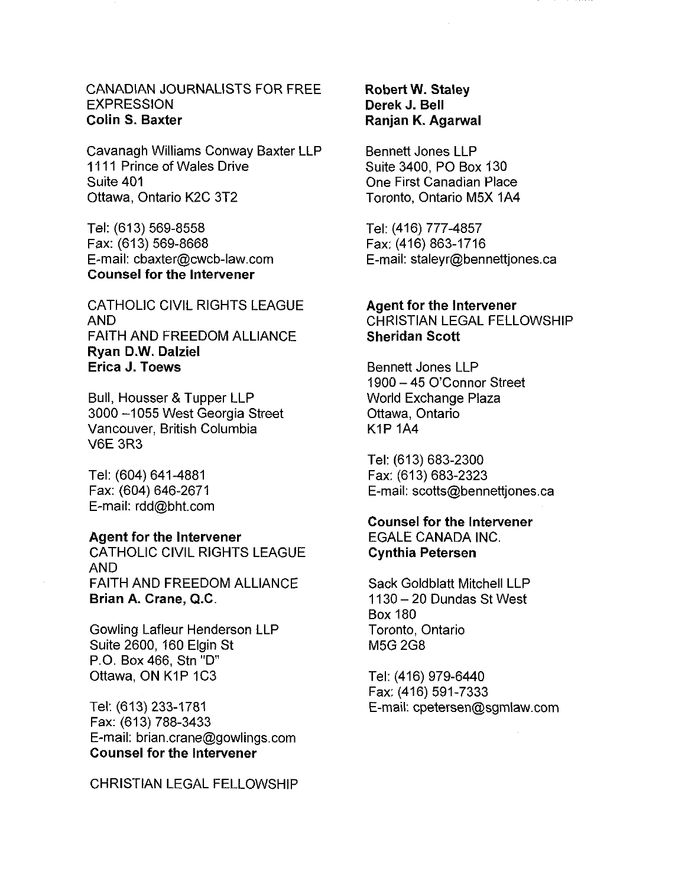#### CANADIAN JOURNALISTS FOR FREE EXPRESSION Colin **S.** Baxter

Cavanagh Williams Conway Baxter LLP 1111 Prince of Wales Drive Suite 401 Ottawa, Ontario K2C 3T2

Tel: (613) 569-8558 Fax: (613) 569-8668 E-mail: cbaxter@cwcb-law.com Counsel for the lntervener

CATHOLIC ClVlL RIGHTS LEAGUE AND FAITH AND FREEDOM ALLIANCE Ryan D.W. Dalziel Erica J. Toews

Bull, Housser & Tupper LLP 3000 -1055 West Georgia Street Vancouver, British Columbia V6E 3R3

Tel: (604) 641-4881 Fax: (604) 646-2671 E-mail: rdd@bht.com

#### Agent for the Intervener

CATHOLIC ClVlL RIGHTS LEAGUE AND FAITH AND FREEDOM ALLIANCE Brian A. Crane, Q.C.

Gowling Lafleur Henderson LLP Suite 2600, 160 Elgin St P.O. Box 466, Stn "D Ottawa, ON K1P 1C3

Tel: (613) 233-1781 Fax: (613) 788-3433 E-mail: brian.crane@gowlings.com Counsel for the Intervener

CHRISTIAN LEGAL FELLOWSHIP

#### Robert **W.** Staley Derek J. Bell Ranjan K. Agarwal

Bennett Jones LLP Suite 3400, PO Box 130 One First Canadian Place Toronto, Ontario M5X 1A4

Tel: (416) 777-4857 Fax: (416) 863-1716 E-mail: staleyr@bennettjones.ca

#### Agent for the Intervener

CHRISTIAN LEGAL FELLOWSHIP Sheridan Scott

Bennett Jones LLP 1900 - 45 O'Connor Street World Exchange Plaza Ottawa, Ontario KIP 1A4

Tel: (613) 683-2300 Fax: (613) 683-2323 E-mail: scotts@bennettjones.ca

# Counsel for the lntervener EGALE CANADA INC.

Cynthia Petersen

Sack Goldblatt Mitchell LLP 11 30 - 20 Dundas St West Box 180 Toronto, Ontario M5G 2G8

Tel: (416) 979-6440 Fax: (416) 591-7333 E-mail: cpetersen@sgmlaw.com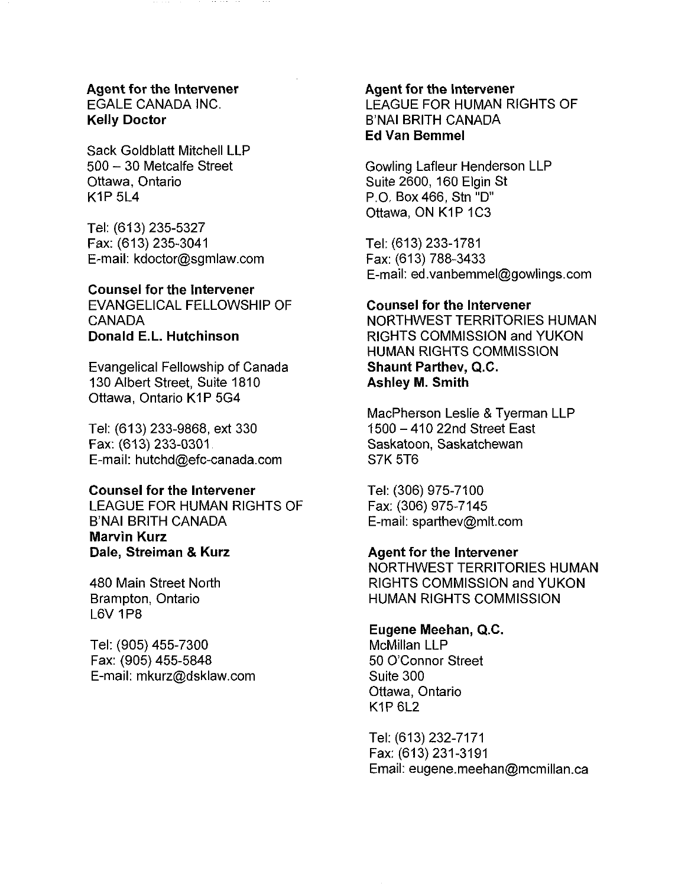#### Agent for the Intervener EGALE CANADA INC. Kelly Doctor

Sack Goldblatt Mitchell LLP 500 - 30 Metcalfe Street Ottawa, Ontario  $K1P 5L4$ 

Tel: (613) 235-5327 Fax: (613) 235-3041 E-mail: kdoctor@sgmlaw.com

#### Counsel for the lntervener

EVANGELICAL FELLOWSHIP OF CANADA Donald E.L. Hutchinson

Evangelical Fellowship of Canada 130 Albert Street, Suite 1810 Ottawa, Ontario K1P 5G4

Tel: (61 3) 233-9868, ext 330 Fax: (613) 233-0301 E-mail: hutchd@efc-canada.com

#### Counsel for the lntervener

LEAGUE FOR HUMAN RIGHTS OF B'NAI BRlTH CANADA Marvin Kurz Dale, Streiman & Kurz

480 Main Street North Brampton, Ontario L6V 1P8

Tel: (905) 455-7300 Fax: (905) 455-5848 E-mail: mkurz@dsklaw.com

#### Agent for the lntervener LEAGUE FOR HUMAN RIGHTS OF B'NAI BRlTH CANADA Ed Van Bemmel

Gowling Lafleur Henderson LLP Suite 2600, 160 Elgin St P.O. Box 466, Stn "D Ottawa, ON K1P 1C3

Tel: (613) 233-1781 Fax: (613) 788-3433 E-mail: ed.vanbemmel@gowlings.com

#### Counsel for the lntervener

NORTHWEST TERRITORIES HUMAN RIGHTS COMMISSION and YUKON HUMAN RIGHTS COMMISSION Shaunt Parthev, **Q.C.**  Ashley M. Smith

MacPherson Leslie & Tyerman LLP 1500 - 410 22nd Street East Saskatoon, Saskatchewan S7K 5T6

Tel: (306) 975-71 00 Fax: (306) 975-7145 E-mail: sparthev@mlt.com

#### Agent for the lntervener

NORTHWEST TERRITORIES HUMAN RIGHTS COMMISSION and YUKON HUMAN RIGHTS COMMISSION

#### Eugene Meehan, **Q.C.**

McMillan LLP 50 O'Connor Street Suite 300 Ottawa, Ontario  $K1P 6L2$ 

Tel: (613) 232-7171 Fax: (613) 231-3191 Email: eugene.meehan@mcmillan.ca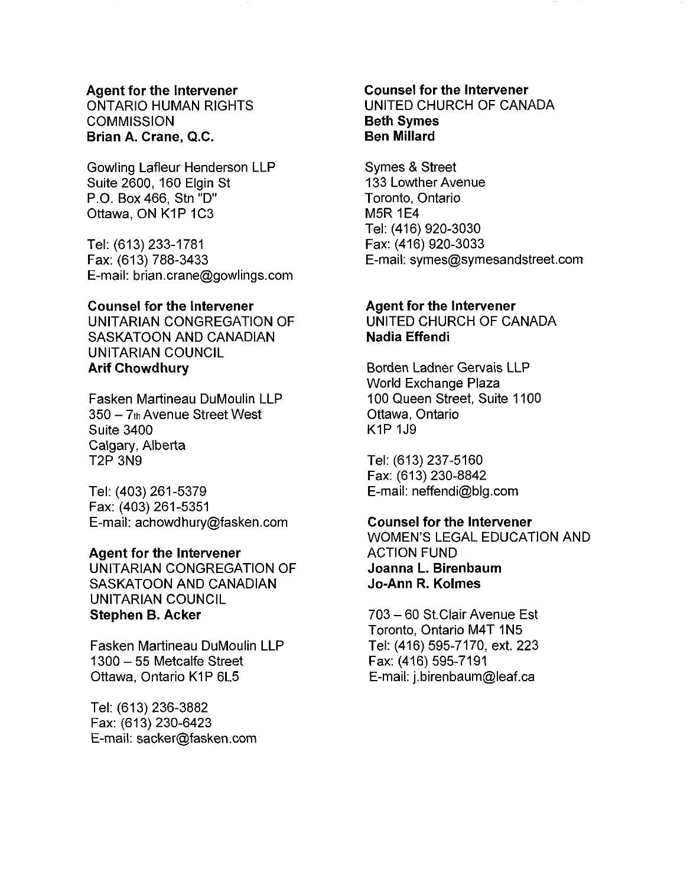ONTARIO HUMAN RIGHTS **COMMISSION Brian A. Crane, Q.C.** 

Gowling Lafleur Henderson LLP Suite 2600, 160 Elgin St P.O. Box 466, Stn "D Ottawa, ON K1P 1C3

Tel: (613) 233-1781 Fax: (613) 788-3433 E-mail: brian.crane@gowlings.com

#### **Counsel for the lntervener**

UNITARIAN CONGREGATION OF SASKATOON AND CANADIAN UNITARIAN COUNCIL **Arif Chowdhury** 

Fasken Martineau DuMoulin LLP  $350 - 7$ th Avenue Street West Suite 3400 Calgary, Alberta T2P 3N9

Tel: (403) 261-5379 Fax: (403) 261 -5351 E-mail: achowdhury@fasken.com

#### **Agent for the lntervener**

UNITARIAN CONGREGATION OF SASKATOON AND CANADIAN UNITARIAN COUNCIL **Stephen B. Acker** 

Fasken Martineau DuMoulin LLP 1300 - 55 Metcalfe Street Ottawa, Ontario K1P 6L5

Tel: (613) 236-3882 Fax: (613) 230-6423 E-mail: sacker@fasken.com

#### **Counsel for the lntervener**  UNITED CHURCH OF CANADA **Beth Symes Ben Millard**

Symes & Street 133 Lowther Avenue Toronto, Ontario M5R 1E4 Tel: (416) 920-3030 Fax: (416) 920-3033 E-mail: symes@symesandstreet.com

#### **Agent for the lntervener**

UNITED CHURCH OF CANADA **Nadia Effendi** 

Borden Ladner Gervais LLP World Exchange Plaza 100 Queen Street, Suite 1100 Ottawa, Ontario KIP 1J9

Tel: (613) 237-5160 Fax: (613) 230-8842 E-mail: neffendi@blg.com

#### **Counsel for the lntervener**

WOMEN'S LEGAL EDUCATION AND ACTION FUND **Joanna** L. **Birenbaum Jo-Ann R. Kolmes** 

703 - 60 St.Clair Avenue Est Toronto, Ontario M4T 1N5 Tel: (416) 595-7170, ext. 223 Fax: (416) 595-7191 E-mail: j.birenbaum@leaf.ca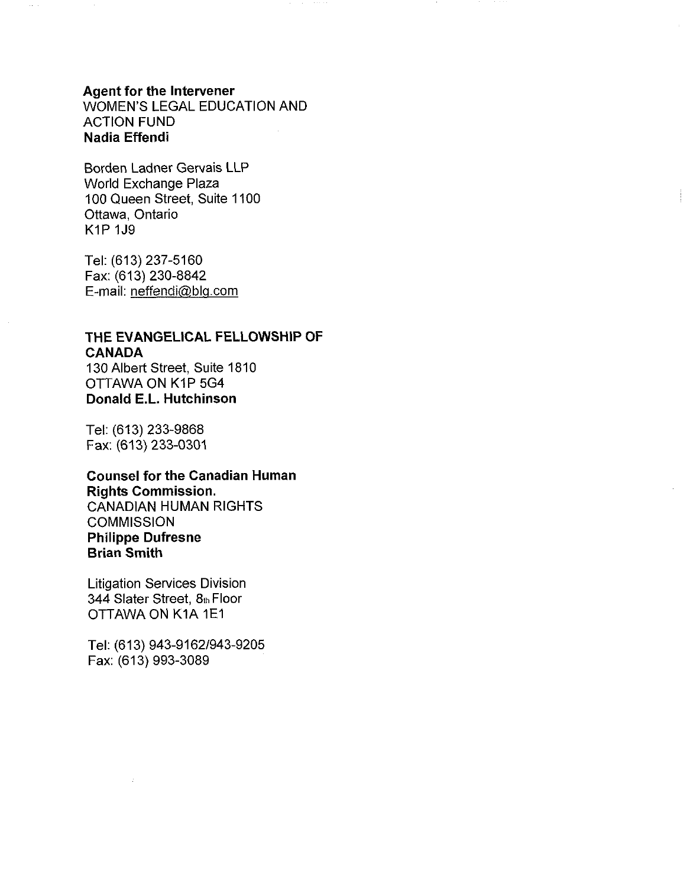**Agent for the lntewener**  WOMEN'S LEGAL EDUCATION AND ACTION FUND **Nadia Effendi** 

Borden Ladner Gervais LLP World Exchange Plaza 100 Queen Street, Suite 1100 Ottawa, Ontario KIP 1J9

Tel: (613) 237-5160 Fax: (613) 230-8842 E-mail: neffendi@blg.com

# **THE EVANGELICAL FELLOWSHIP OF CANADA**  130 Albert Street, Suite 1810

OTTAWA ON K1P 5G4 **Donald** E.L. **Hutchinson** 

Tel: (613) 233-9868 Fax: (613) 233-0301

**Counsel for the Canadian Human Rights Commission.**  CANADIAN HUMAN RIGHTS **COMMISSION Philippe Dufresne Brian Smith** 

Litigation Services Division 344 Slater Street, 8th Floor OTTAWA ON K1A 1E1

Tel: (613) 943-9162/943-9205 Fax: (613) 993-3089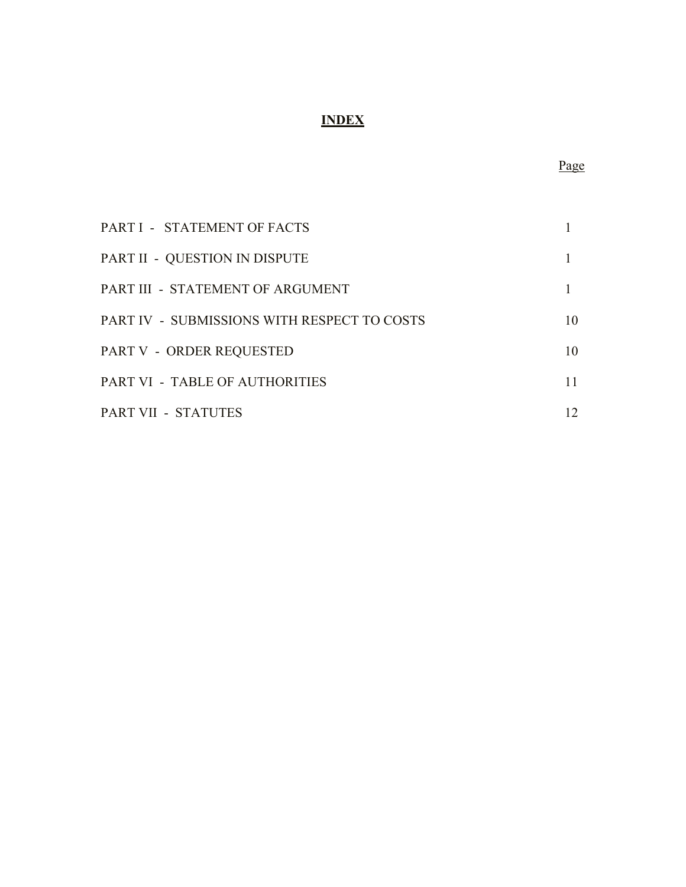# **INDEX**

| PART I - STATEMENT OF FACTS                 |    |
|---------------------------------------------|----|
| PART II - QUESTION IN DISPUTE               |    |
| PART III - STATEMENT OF ARGUMENT            |    |
| PART IV - SUBMISSIONS WITH RESPECT TO COSTS | 10 |
| PART V - ORDER REQUESTED                    | 10 |
| PART VI - TABLE OF AUTHORITIES              | 11 |
| PART VII - STATUTES                         | 12 |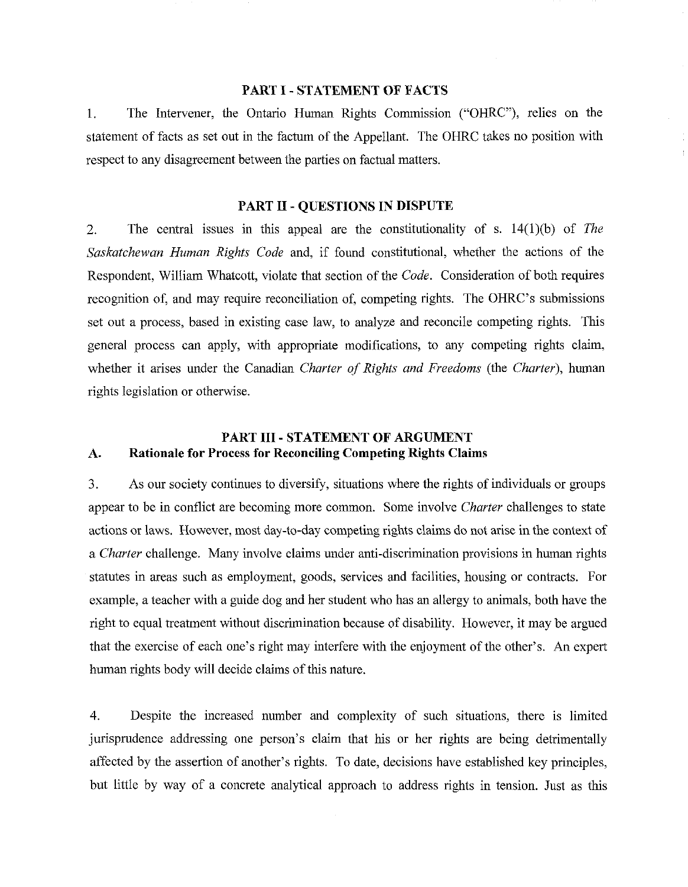#### **PART I** - **STATEMENT OF PACTS**

1. The Intervener, the Ontario Human Rights Commission ("OHRC"), relies on the statement of facts as set out in the factum of the Appellant. The OHRC takes no position with respect to any disagreement between the parties on factual matters.

#### **PART LI** - **QUESTIONS IN DISPUTE**

2. The central issues in this appeal are the constitutionality of s. 14(1)(b) of *The S~zskatchewan Human Rights Code* and, if found constitutional, whether the actions of the Respondent, William Whatcott, violate that section of the *Code.* Consideration of both requires recognition of, and may require reconciliation of, competing rights. The OHRC's submissions set out a process, based in existing case law, to analyze and reconcile competing rights. This general process can apply, with appropriate modifications, to any competing rights claim, whether it arises under the Canadian *Charter of Rights and Freedoms* (the *Charter),* human rights legislation or otherwise.

## **PART I11** - **STATEMENT OF ARGUMENT A. Rationale for Process for Reconciling Competing Rights Claims**

3. As our society continues to diversify, situations where the rights of individuals or groups appear to be in conflict are becoming more common. Some involve *Charter* challenges to state actions or laws. However, most day-to-day competing rights claims do not arise in the context of a *Charter* challenge. Many involve claims under anti-discrimination provisions in human rights statutes in areas such as employment, goods, services and facilities, housing or contracts. For example, a teacher with a guide dog and her student who has an allergy to animals, both have the right to equal treatment without discrimination because of disability. However, it may be argued that the exercise of each one's right may interfere with the enjoyment of the other's. An expert human rights body will decide claims of this nature.

4. Despite the increased number and complexity of such situations, there is limited jurisprudence addressing one person's claim that his or her rights are being detrimentally affected by the assertion of another's rights. To date, decisions have established key principles, but little by way of a concrete analytical approach to address rights in tension. Just as this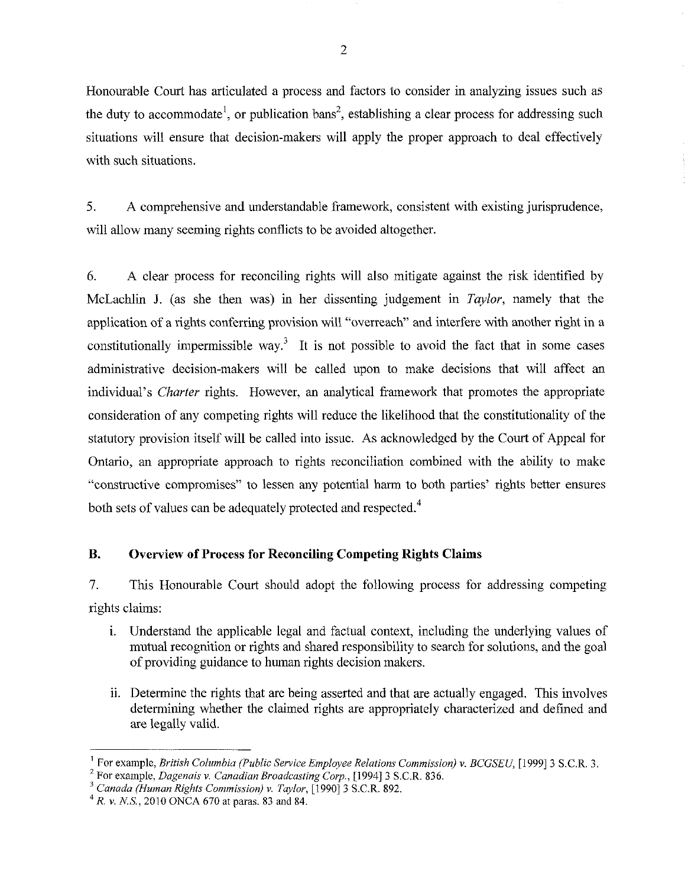Honourable Court has articulated a process and factors to consider in analyzing issues such as the duty to accommodate<sup>1</sup>, or publication bans<sup>2</sup>, establishing a clear process for addressing such situations will ensure that decision-makers will apply the proper approach to deal effectively with such situations.

5. A comprehensive and understandable framework, consistent with existing jurisprudence, will allow many seeming rights conflicts to be avoided altogether.

*6.* A clear process for reconciling rights will also mitigate against the risk identified by McLachlin J. (as she then was) in her dissenting judgement in *Taylor,* namely that the application of a rights conferring provision will "overreach" and interfere with another right in a constitutionally impermissible way.<sup>3</sup> It is not possible to avoid the fact that in some cases administrative decision-makers will be called upon to make decisions that will affect an individual's *Charter* rights. However, an analytical framework that promotes the appropriate consideration of any competing rights will reduce the likelihood that the constitutionality of the statutory provision itself will be called into issue. As acknowledged by the Court of Appeal for Ontario, an appropriate approach to rights reconciliation combined with the ability to make "constructive compromises" to lessen any potential harm to both parties' rights better ensures both sets of values can be adequately protected and respected.<sup>4</sup>

#### **B. Overview of Process for Reconciling Competing Rights Claims**

7. This Honourable Court should adopt the following process for addressing competing rights claims:

- i. Understand the applicable legal and factual context, including the underlying values of mutual recognition or rights and shared responsibility to search for solutions, and the goal of providing guidance to human rights decision malters.
- ii. Determine the rights that are being asserted and that are actually engaged. This involves determining whether the claimed rights are appropriately characterized and defined and are legally valid.

**<sup>1</sup>**For example, *British Columbia (Public Service Employee Relations Commission)* **v.** *BCGSEU,* [I9991 3 S.C.R. 3.

For example, *Dagenais* **v.** *Canadian Broadcasting Carp.,* [I9941 3 S.C.R. 836.

*Canada (Human Rights Commission)* v. *Taylor,* [I9901 3 S.C.R. 892. **<sup>4</sup>***R.* **v.** *MS.,* 2010 *ONCA* 670 at paras. 83 and 84.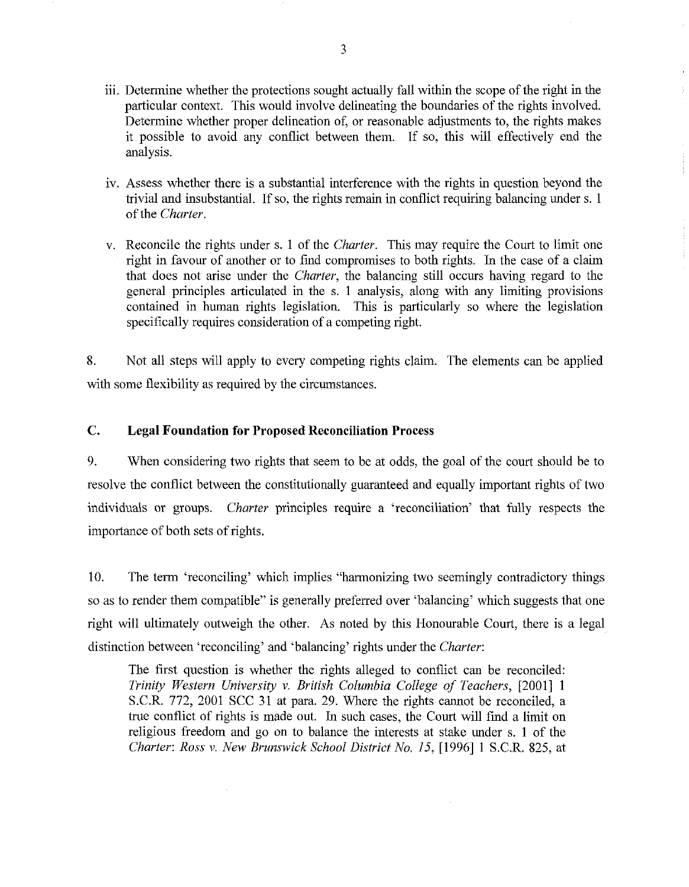- iii. Determine whether the protections sought actually fall within the scope of the right in the particular context. This would involve delineating the boundaries of the rights involved. Determine whether proper delineation of, or reasonable adjustments to, the rights makes it possible to avoid any conflict between them. If so, this will effectively end the analysis.
- iv. Assess whether there is a substantial interference with the rights in question beyond the trivial and insubstantial. If so, the rights remain in conflict requiring balancing under s. 1 of the *Charter.*
- v. Reconcile the rights under s. 1 of the *Charter.* This may require the Court to limit one right in favour of another or to find compromises to both rights. In the case of a claim that does not arise under the *Charter,* the balancing still occurs having regard to the general principles articulated in the s. 1 analysis, along with any limiting provisions contained in human rights legislation. This is particularly so where the legislation specifically requires consideration of a competing right.

8. Not all steps will apply to every competing rights claim. The elements can be applied with some flexibility as required by the circumstances.

#### **C. Legal Foundation for Proposed Reconciliation Process**

9. When considering two rights that seem to be at odds, the goal of the court should be to resolve the conflict between the constitutionally guaranteed and equally important rights of two individuals or groups. *Charter* principles require a 'reconciliation' that fully respects the importance of both sets of rights.

10. The term 'reconciling' which implies "harmonizing two seemingly contradictory things so as to render them compatible" is generally preferred over 'balancing' which suggests that one right will ultimately outweigh the other. As noted by this Honourable Court, there is a legal distinction between 'reconciling' and 'balancing' rights under the *Charter:* 

The first question is whether the rights alleged to conflict can be reconciled: *Trinity Western University v. British Columbia College of Teachers,* [2001] 1 S.C.R. 772, 2001 SCC 31 at para. 29. Where the rights cannot be reconciled, a true conflict of rights is made out. In such cases, the Court will find a limit on religious freedom and go on to balance the interests at stake under s. 1 of the *Charter: Ross v. New Brunswick School District No. 15,* [1996] 1 S.C.R. 825, at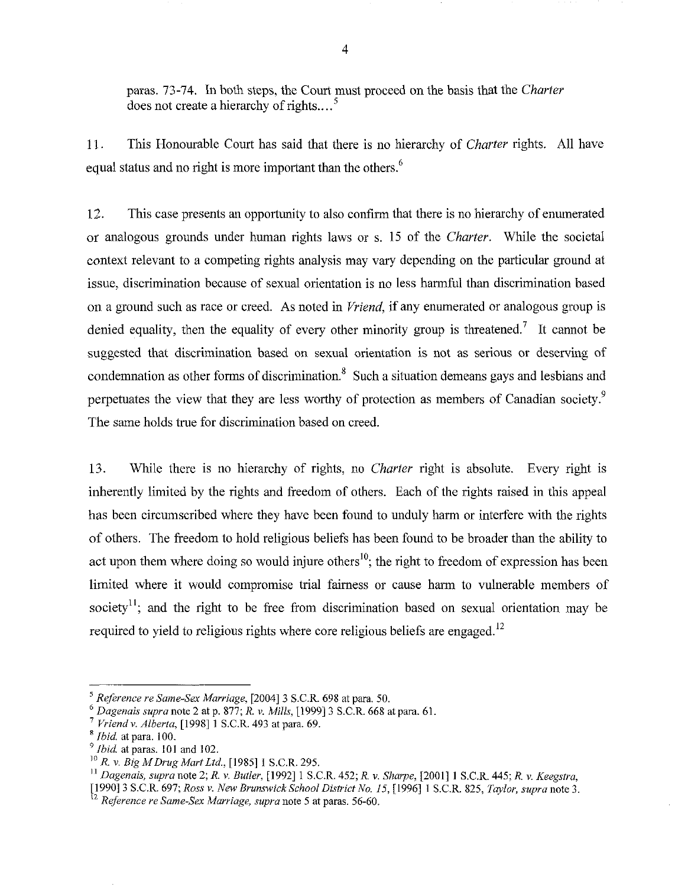paras. 73-74. In both steps, the Court must proceed on the basis that the *Chartev*  does not create a hierarchy of rights.. . . **<sup>5</sup>**

11. This Honourable Court has said that there is no hierarchy of *Charter* rights. All have equal status and no right is more important than the others. $^6$ 

12. This case presents an opportunity to also confirm that there is no hierarchy of enumerated or analogous grounds under human rights laws or s. 15 of the *Charter.* While the societal context relevant to a competing rights analysis may vary depending on the particular ground at issue, discrimination because of sexual orientation is no less harmful than discrimination based on a ground such as race or creed. As noted in *Vriend,* if any enumerated or analogous group is denied equality, then the equality of every other minority group is threatened.' It cannot be suggested that discrimination based on sexual orientation is not as serious or deserving of condemnation as other forms of discrimination. $8\,$  Such a situation demeans gays and lesbians and perpetuates the view that they are less worthy of protection as members of Canadian society.<sup>9</sup> The same holds true for discrimination based on creed.

13. While there is no hierarchy of rights, no *Charter* right is absolute. Every right is inherently limited by the rights and freedom of others. Each of the rights raised in this appeal has been circumscribed where they have been found to unduly harm or interfere with the rights of others. The freedom to hold religious beliefs has been found to be broader than the ability to act upon them where doing so would injure others<sup>10</sup>; the right to freedom of expression has been limited where it would compromise trial fairness or cause harm to vulnerable members of society<sup>11</sup>; and the right to be free from discrimination based on sexual orientation may be required to yield to religious rights where core religious beliefs are engaged.<sup>12</sup>

" *Dagenais, supra* note 2; *R. v Butler,* [I9921 1 S.C.R. 452; *R.* **v.** *SIiarpe,* [2001] 1 S.C.R. 445; *R. v. Keegstra,* 

<sup>&</sup>lt;sup>5</sup> Reference re Same-Sex Marriage, [2004] 3 S.C.R. 698 at para. 50.<br>
<sup>6</sup> Dagenais supra note 2 at p. 877; R. v. Mills, [1999] 3 S.C.R. 668 at para. 61.<br>
<sup>7</sup> Vriend v. Alberta, [1998] 1 S.C.R. 493 at para. 69.<br>
<sup>8</sup> Ibid.

<sup>&</sup>lt;sup>9</sup>*Ibid.* at paras. 101 and 102.

**<sup>&#</sup>x27;OR. v.** *Big MDrug MartLtd.,* [I9851 1 S.C.R. 295.

<sup>[1990] 3</sup> S.C.R. 697; Ross v. New Brunswick School District No. 15, [1996] 1 S.C.R. 825, Taylor, supra note 3.<br><sup>12</sup> Reference re Same-Sex Marriage, supra note 5 at paras. 56-60.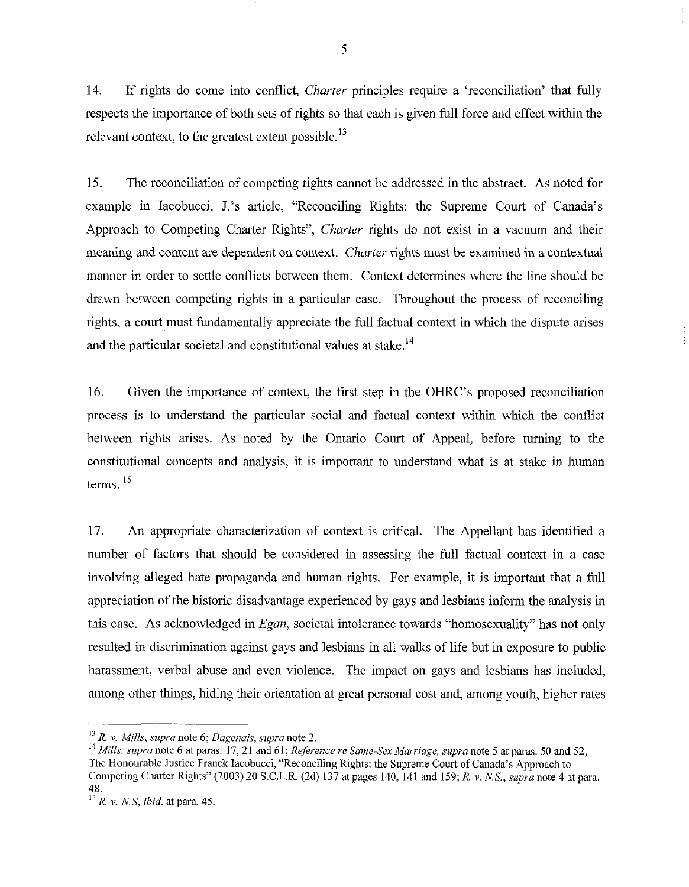14. If rights do come into conflict, *Charter* principles require a 'reconciliation' that fully respects the importance of both sets of rights so that each is given full force and effect within the relevant context, to the greatest extent possible.<sup>13</sup>

15. The reconciliation of competing rights cannot be addressed in the abstract. As noted for example in Iacobucci, J.'s article, "Reconciling Rights: the Supreme Court of Canada's Approach to Competing Charter Rights", *Charter* rights do not exist in a vacuum and their meaning and content are dependent on context. *Charter* rights must be examined in a contextual manner in order to settle conflicts between them. Context determines where the line should be drawn between competing rights in a particular case. Throughout the process of reconciling rights, a court must fundamentally appreciate the full factual context in which the dispute arises and the particular societal and constitutional values at stake.<sup>14</sup>

16. Given the importance of context, the first step in the OHRC's proposed reconciliation process is to understand the particular social and factual context within which the conflict between rights arises. As noted by the Ontario Court of Appeal, before turning to the constitutional concepts and analysis, it is important to understand what is at stake in human terms.<sup>15</sup>

17. An appropriate characterization of context is critical. The Appellant has identified a number of factors that should be considered in assessing the full factual context in a case involving alleged hate propaganda and human rights. For example, it is important that a full appreciation of the historic disadvantage experienced by gays and lesbians inform the analysis in this case. As acknowledged in *Egan*, societal intolerance towards "homosexuality" has not only resulted in discrimination against gays and lesbians in all walks of life but in exposure to public harassment, verbal abuse and even violence. The impact on gays and lesbians has included, among other things, hiding their orientation at great personal cost and, among youth, higher rates

<sup>&</sup>lt;sup>13</sup> *R. v. Mills, supra* note 6; *Dagenais, supra* note 2.<br><sup>14</sup> *Mills, supra* note 6 at paras. 17, 21 and 61; *Reference re Same-Sex Marriage, supra* note 5 at paras. 50 and 52; The Honourable Justice Franck lacobucci, "Reconciling Rights: the Supreme Court of Canada's Approach to Competing Charter Rights" (2003) 20 S.C.L.R. (2d) 137 at pages 140, 141 and 159; *R.* **v.** *NS., supra* note *4* at para. 48.

*R.* **v.** *NS, ibid.* at para. 45.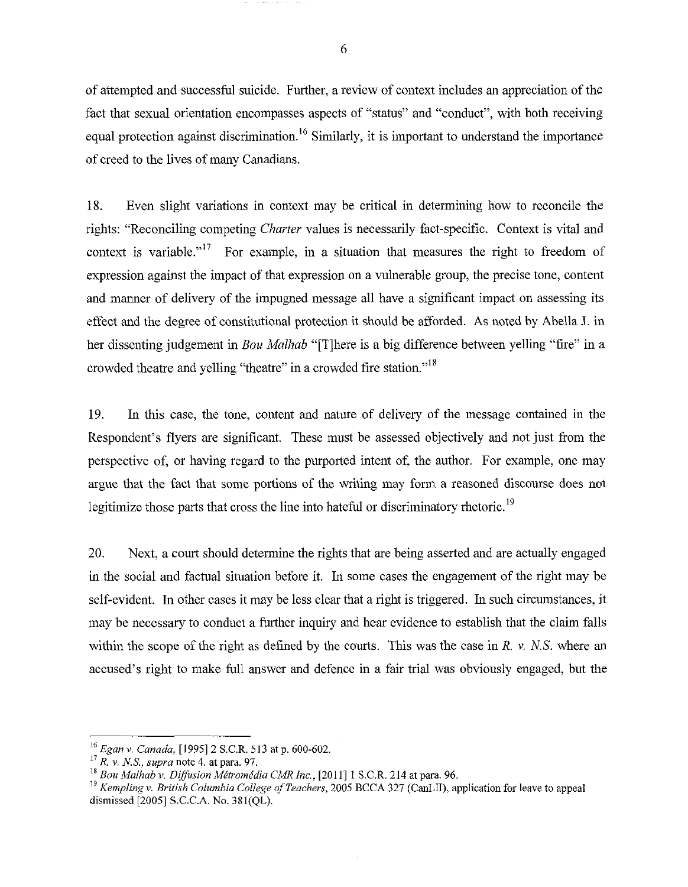of attempted and successful suicide. Further, a review of context includes an appreciation of the fact that sexual orientation encompasses aspects of "status" and "conduct", with both receiving equal protection against discrimination.<sup>16</sup> Similarly, it is important to understand the importance of creed to the lives of many Canadians.

18. Even slight variations in context may be critical in determining how to reconcile the rights: "Reconciling competing *Charter* values is necessarily fact-specific. Context is vital and context is variable."<sup>17</sup> For example, in a situation that measures the right to freedom of expression against the impact of that expression on a vulnerable group, the precise tone, content and manner of delivery of the impugned message all have a significant impact on assessing its effect and the degree of constitutional protection it should be afforded. As noted by Abella **3.** in her dissenting judgement in Bou *Malhab* "[Tlbere is a big difference between yelling "fire" in a crowded theatre and yelling "theatre" in a crowded fire station."<sup>18</sup>

19. In this case, the tone, content and nature of delivery of the message contained in the Respondent's flyers are significant. These must be assessed objectively and not just from the perspective of, or having regard to the purported intent of, the author. For example, one may argue that the fact that some portions of the writing may form a reasoned discourse does not legitimize those parts that cross the line into hateful or discriminatory rhetoric.<sup>19</sup>

20. Next, a court should determine the rights that are being asserted and are actually engaged in the social and factual situation before it. In some cases the engagement of the right may be self-evident. In other cases it may be less clear that a right is triggered. In such circumstances, it may be necessary to conduct a further inquiry and hear evidence to establish that the claim falls within the scope of the right as defined by the courts. This was the case in R. v. *N.S.* where an accused's right to make full answer and defence in a fair trial was obviously engaged, but the

6

<sup>&</sup>lt;sup>16</sup> *Egan v. Canada*, [1995] 2 S.C.R. 513 at p. 600-602.<br><sup>17</sup> *R. v. N.S., supra* note 4. at para. 97.

<sup>&</sup>lt;sup>18</sup> Bou Malhab v. Diffusion Métromédia CMR Inc., [2011] 1 S.C.R. 214 at para. 96.

**<sup>19</sup>***Kempling* **v.** *British Columbia College of Teachers,* 2005 BCCA 327 (CanLII), application for leave to appeal dismissed [2005] S.C.C.A. No. 381(QL).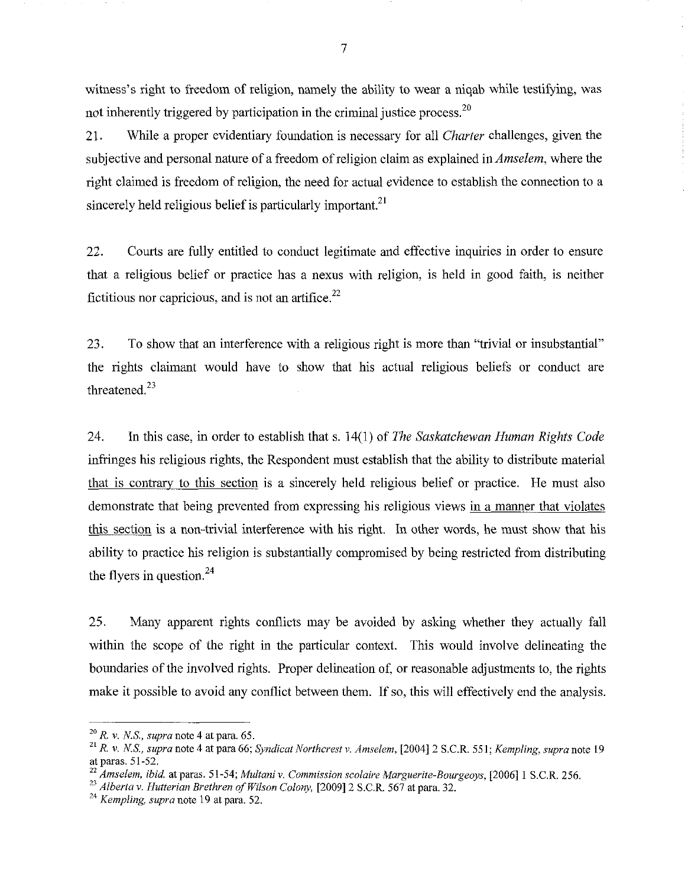witness's right to freedom of religion, namely the ability to wear a niqab while testifying, was not inherently triggered by participation in the criminal justice process.<sup>20</sup>

21. While a proper evidentiary foundation is necessary for all *Charter* challenges, given the subjective and personal nature of a freedom of religion claim as explained in *Amselem,* where the right claimed is freedom of religion, the need for actual evidence to establish the connection to a sincerely held religious belief is particularly important.<sup>21</sup>

22. Courts are fully entitled to conduct legitimate and effective inquiries in order to ensure that a religious belief or practice has a nexus with religion, is held in good faith, is neither fictitious nor capricious, and is not an artifice. $^{22}$ 

*23.* To show that an interference with a religious right is more than "trivial or insubstantial" the rights claimant would have to show that his actual religious beliefs or conduct are threatened.<sup>23</sup>

24. In this case, in order to establish that s. 14(1) of *The Saskatchewan Human Rights Code*  infringes his religious rights, the Respondent must establish that the ability to distribute material that is contrary to this section is a sincerely held religious belief or practice. He must also demonstrate that being prevented from expressing his religious views in a manner that violates this section is a non-trivial interference with his right. In other words, he must show that his ability to practice his religion is substantially compromised by being restricted from distributing the flyers in question.<sup>24</sup>

25. Many apparent rights conflicts may be avoided by asking whether they actually fall within the scope of the right in the particular context. This would involve delineating the boundaries of the involved rights. Proper delineation of, or reasonable adjustments to, the rights make it possible to avoid any conflict between them. If so, this will effectively end the analysis.

 $\overline{7}$ 

**<sup>20</sup>***R.* **v.** *N.S., supra* note *4* at para. 65.

<sup>&</sup>lt;sup>21</sup> *R. v. N.S., supra* note 4 at para 66; *Syndicat Northcrest v. Amselem,* [2004] 2 S.C.R. 551; *Kempling, supra* note 19 at paras. 51-52.

**<sup>22</sup>***Amselem, ibid.* at paras. 5 1-54; *Multani* **v.** *Commission scolaire Marguerite-Bourgeoys,* [2006] 1 S.C.R. 256.

<sup>23</sup>*Alberta* **v.** *Hutterian Brethren of Wilson Colony,* [2009] 2 S.C.R. 567 at para. 32.

<sup>24</sup>*Kempling, supra* note *19* at para. 52.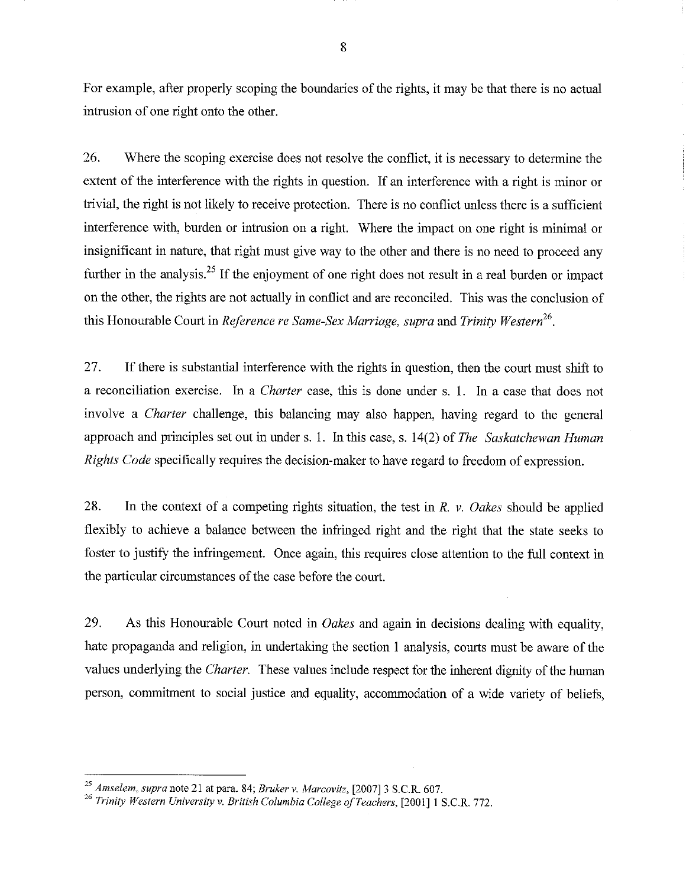For example, after properly scoping the boundaries of the rights, it may be that there is no actual intrusion of one right onto the other.

26. Where the scoping exercise does not resolve the conflict, it is necessary to determine the extent of the interference with the rights in question. If an interference with a right is minor or trivial, the right is not likely to receive protection. There is no conflict unless there is a sufficient interference with, burden or intrusion on a right. Where the impact on one right is minimal or insignificant in nature, that right must give way to the other and there is no need to proceed any further in the analysis.<sup>25</sup> If the enjoyment of one right does not result in a real burden or impact on the other, the rights are not actually in conflict and are reconciled. This was the conclusion of this Honourable Court in *Reference re Same-Sex Marriage, supra* and *Trinity* 

27. If there is substantial interference with the rights in question, then the court must shift to a reconciliation exercise. In a *Charter* case, this is done under s. 1. In a case that does not involve a *Charter* challenge, this balancing may also happen, having regard to the general approach and principles set out in under s. 1. In this case, s. 14(2) of *The Saskatchewan Human Rights Code* specifically requires the decision-maker to have regard to freedom of expression.

28. In the context of a competing rights situation, the test in *R.* v. *Oakes* should be applied flexibly to achieve a balance between the infringed right and the right that the state seeks to foster to justify the infringement. Once again, this requires close attention to the full context in the particular circumstances of the case before the court.

29. As this Honourable Court noted in *Oakes* and again in decisions dealing with equality, hate propaganda and religion, in undertaking the section 1 analysis, courts must be aware of the values underlying the *Charter.* These values include respect for the inherent dignity of the human person, commitment to social justice and equality, accommodation of a wide variety of beliefs,

<sup>&</sup>lt;sup>25</sup> Amselem, supra note 21 at para. 84; Bruker v. Marcovitz, [2007] 3 S.C.R. 607.<br><sup>26</sup> Trinity Western University v. British Columbia College of Teachers, [2001] 1 S.C.R. 772.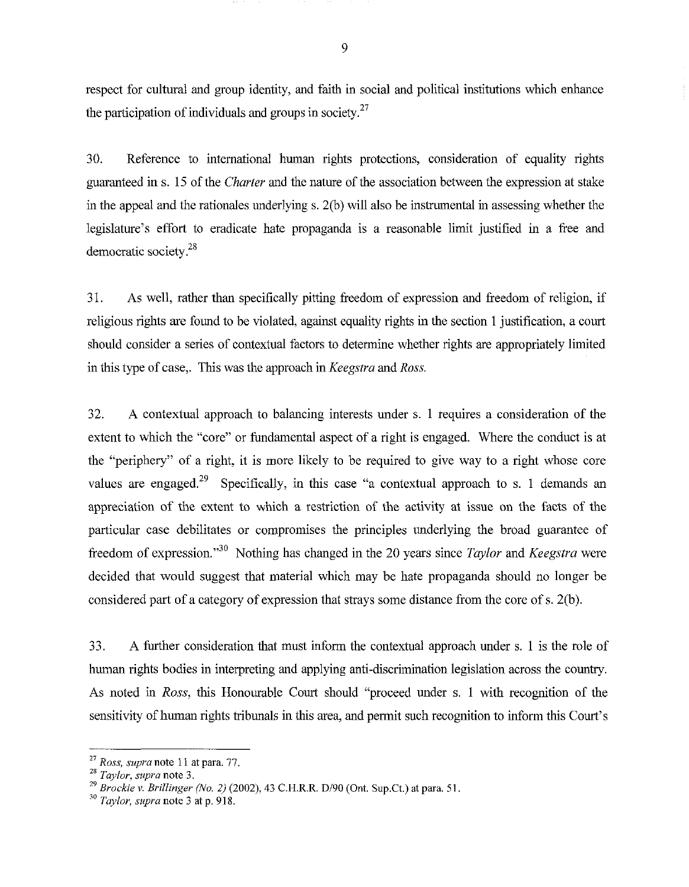respect for cultural and group identity, and faith in social and political institutions which enhance the participation of individuals and groups in society.<sup>27</sup>

30. Reference to international human rights protections, consideration of equality rights guaranteed in s. 15 of the *Charter* and the nature of the association between the expression at stake in the appeal and the rationales underlying s. 2(b) will also be instrumental in assessing whether the legislature's effort to eradicate hate propaganda is a reasonable limit justified in a free and democratic society.28

3 1. As well, rather than specifically pitting freedom of expression and freedom of religion, if religious rights are found to be violated, against equality rights in the section 1 justification, a court should consider a series of contextual factors to determine whether rights are appropriately limited in this type of case,. This was the approach in *Keegstra* and *Ross.* 

32. A contextual approach to balancing interests under s. 1 requires a consideration of the extent to which the "core" or fundamental aspect of a right is engaged. Where the conduct is at the "periphery" of a right, it is more likely to be required to give way to a right whose core values are engaged.<sup>29</sup> Specifically, in this case "a contextual approach to s. 1 demands an appreciation of the extent to which a restriction of the activity at issue on the facts of the particular case debilitates or compromises the principles underlying the broad guarantee of freedom of expression."30 Nothing has changed in the 20 years since *Taylor* and *Keegstra* were decided that would suggest that material which may be hate propaganda should no longer be considered part of a category of expression that strays some distance from the core of s. 2(b).

33. A further consideration that must inform the contextual approach under s. 1 is the role of human rights bodies in interpreting and applying anti-discrimination legislation across the country. As noted in *Ross,* this Honourable Court should "proceed under s. 1 with recognition of the sensitivity of human rights tribunals in this area, and permit such recognition to inform this Court's

9

**<sup>27</sup>***Ross, supranote 11* at **para.** *77.* 

**<sup>28</sup>***Taylor, supra note* **3.** 

<sup>29</sup>*Brockie v. Brillinger (No. 2)* (2002), *43 C.H.R.R.* Dl90 *(Ont.* Sup.Ct.) *at* **para.** 51

**<sup>30</sup>***Taylor, supra note 3 at* **p. 9 18.**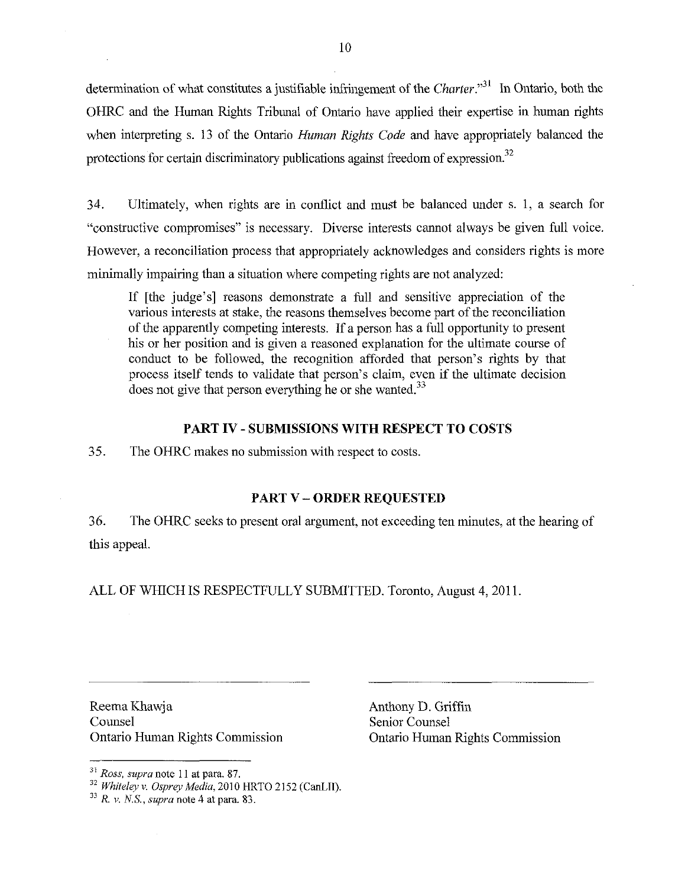determination of what constitutes a justifiable infringement of the *Charter*."<sup>31</sup> In Ontario, both the OHRC and the Human Rights Tribunal of Ontario have applied their expertise in human rights when interpreting s. 13 of the Ontario *Human Rights Code* and have appropriately balanced the protections for certain discriminatory publications against freedom of expression.<sup>32</sup>

34. Ultimately, when rights are in conflict and must be balanced under s. 1, a search for "constructive compromises" is necessary. Diverse interests cannot always be given full voice. However, a reconciliation process that appropriately acknowledges and considers rights is more minimally impairing than a situation where competing rights are not analyzed:

If [the judge's] reasons demonstrate a full and sensitive appreciation of the various interests at stake, the reasons themselves become part of the reconciliation of the apparently competing interests. If a person has a full opportunity to present his or her position and is given a reasoned explanation for the ultimate course of conduct to be followed, the recognition afforded that person's rights by that process itself tends to validate that person's claim, even if the ultimate decision does not give that person everything he or she wanted. $33$ 

#### **PART IV** - **SUBMISSIONS WITH RESPECT TO COSTS**

35. The OHRC makes no submission with respect to costs.

#### **PART V** - **ORDER REQUESTED**

**36.** The OHRC seeks to present oral argument, not exceeding ten minutes, at the hearing of this appeal.

ALL OF WHICH IS RESPECTFULLY SUBMITTED. Toronto, August 4, 2011.

Reema Khawja Counsel Ontario Human Rights Commission Anthony D. Griffin Senior Counsel Ontario Human Rights Commission

**<sup>3&#</sup>x27;** *Ross, supra* note 11 *at* para. **87.** 

<sup>&</sup>lt;sup>32</sup> Whiteley v. Osprey Media, 2010 HRTO 2152 (CanLII).

<sup>&</sup>quot; *R. v. NS., supra note 4* at **para.** 83.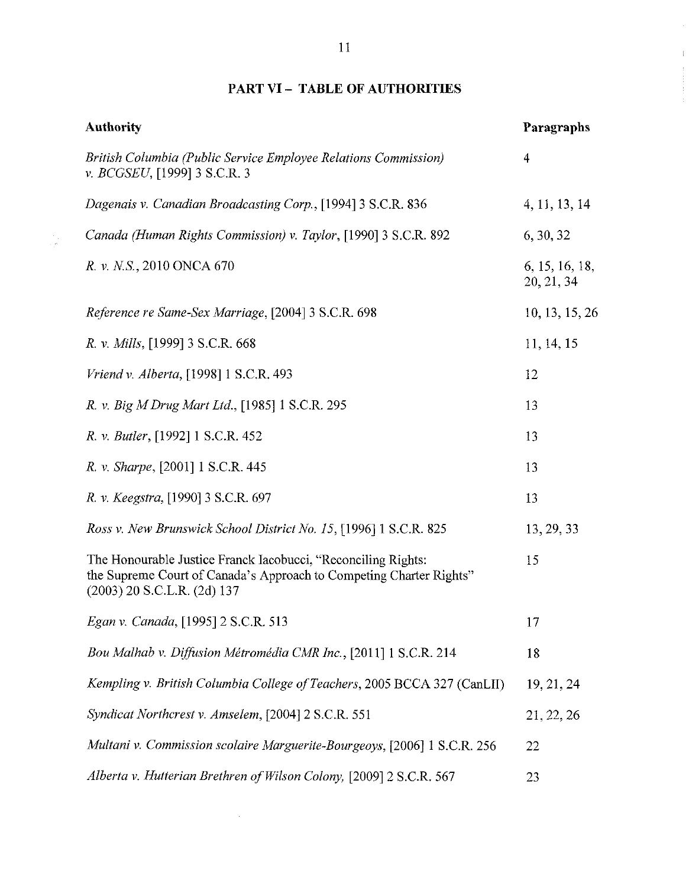# **PART VI** - **TABLE OF AUTHORITIES**

 $\frac{1}{2}$ 

| <b>Authority</b>                                                                                                                                                        | Paragraphs                   |
|-------------------------------------------------------------------------------------------------------------------------------------------------------------------------|------------------------------|
| British Columbia (Public Service Employee Relations Commission)<br>v. BCGSEU, [1999] 3 S.C.R. 3                                                                         | $\overline{4}$               |
| Dagenais v. Canadian Broadcasting Corp., [1994] 3 S.C.R. 836                                                                                                            | 4, 11, 13, 14                |
| Canada (Human Rights Commission) v. Taylor, [1990] 3 S.C.R. 892                                                                                                         | 6, 30, 32                    |
| R. v. N.S., 2010 ONCA 670                                                                                                                                               | 6, 15, 16, 18,<br>20, 21, 34 |
| Reference re Same-Sex Marriage, [2004] 3 S.C.R. 698                                                                                                                     | 10, 13, 15, 26               |
| <i>R. v. Mills</i> , [1999] 3 S.C.R. 668                                                                                                                                | 11, 14, 15                   |
| Vriend v. Alberta, [1998] 1 S.C.R. 493                                                                                                                                  | 12                           |
| R. v. Big M Drug Mart Ltd., [1985] 1 S.C.R. 295                                                                                                                         | 13                           |
| R. v. Butler, [1992] 1 S.C.R. 452                                                                                                                                       | 13                           |
| R. v. Sharpe, [2001] 1 S.C.R. 445                                                                                                                                       | 13                           |
| R. v. Keegstra, [1990] 3 S.C.R. 697                                                                                                                                     | 13                           |
| Ross v. New Brunswick School District No. 15, [1996] 1 S.C.R. 825                                                                                                       | 13, 29, 33                   |
| The Honourable Justice Franck Iacobucci, "Reconciling Rights:<br>the Supreme Court of Canada's Approach to Competing Charter Rights"<br>$(2003)$ 20 S.C.L.R. $(2d)$ 137 | 15                           |
| Egan v. Canada, [1995] 2 S.C.R. 513                                                                                                                                     | 17                           |
| Bou Malhab v. Diffusion Métromédia CMR Inc., [2011] 1 S.C.R. 214                                                                                                        | 18                           |
| Kempling v. British Columbia College of Teachers, 2005 BCCA 327 (CanLII)                                                                                                | 19, 21, 24                   |
| Syndicat Northcrest v. Amselem, [2004] 2 S.C.R. 551                                                                                                                     | 21, 22, 26                   |
| Multani v. Commission scolaire Marguerite-Bourgeoys, [2006] 1 S.C.R. 256                                                                                                | 22                           |
| Alberta v. Hutterian Brethren of Wilson Colony, [2009] 2 S.C.R. 567                                                                                                     | 23                           |

Ĭ